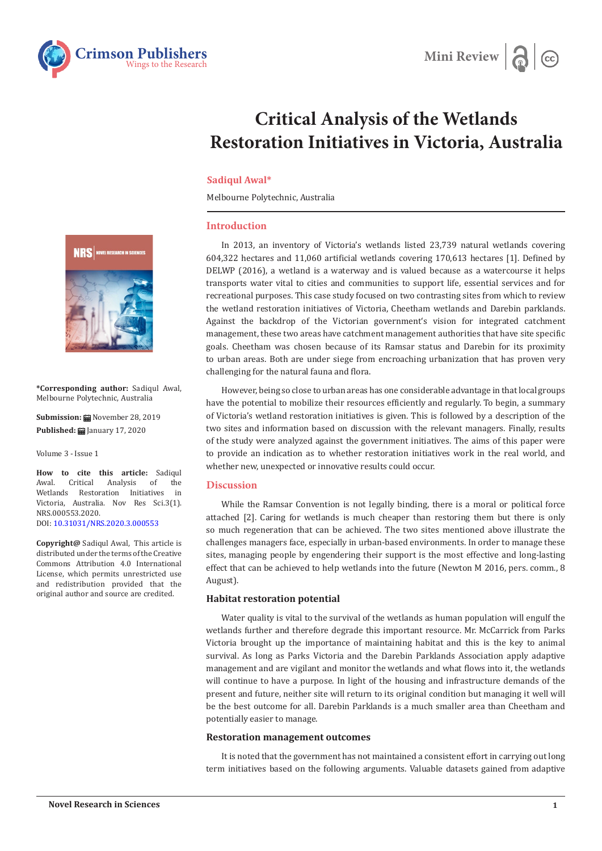



# **Critical Analysis of the Wetlands Restoration Initiatives in Victoria, Australia**

### **Sadiqul Awal\***

Melbourne Polytechnic, Australia

# **Introduction**

In 2013, an inventory of Victoria's wetlands listed 23,739 natural wetlands covering 604,322 hectares and 11,060 artificial wetlands covering 170,613 hectares [1]. Defined by DELWP (2016), a wetland is a waterway and is valued because as a watercourse it helps transports water vital to cities and communities to support life, essential services and for recreational purposes. This case study focused on two contrasting sites from which to review the wetland restoration initiatives of Victoria, Cheetham wetlands and Darebin parklands. Against the backdrop of the Victorian government's vision for integrated catchment management, these two areas have catchment management authorities that have site specific goals. Cheetham was chosen because of its Ramsar status and Darebin for its proximity to urban areas. Both are under siege from encroaching urbanization that has proven very challenging for the natural fauna and flora.

However, being so close to urban areas has one considerable advantage in that local groups have the potential to mobilize their resources efficiently and regularly. To begin, a summary of Victoria's wetland restoration initiatives is given. This is followed by a description of the two sites and information based on discussion with the relevant managers. Finally, results of the study were analyzed against the government initiatives. The aims of this paper were to provide an indication as to whether restoration initiatives work in the real world, and whether new, unexpected or innovative results could occur.

#### **Discussion**

While the Ramsar Convention is not legally binding, there is a moral or political force attached [2]. Caring for wetlands is much cheaper than restoring them but there is only so much regeneration that can be achieved. The two sites mentioned above illustrate the challenges managers face, especially in urban-based environments. In order to manage these sites, managing people by engendering their support is the most effective and long-lasting effect that can be achieved to help wetlands into the future (Newton M 2016, pers. comm., 8 August).

#### **Habitat restoration potential**

Water quality is vital to the survival of the wetlands as human population will engulf the wetlands further and therefore degrade this important resource. Mr. McCarrick from Parks Victoria brought up the importance of maintaining habitat and this is the key to animal survival. As long as Parks Victoria and the Darebin Parklands Association apply adaptive management and are vigilant and monitor the wetlands and what flows into it, the wetlands will continue to have a purpose. In light of the housing and infrastructure demands of the present and future, neither site will return to its original condition but managing it well will be the best outcome for all. Darebin Parklands is a much smaller area than Cheetham and potentially easier to manage.

#### **Restoration management outcomes**

It is noted that the government has not maintained a consistent effort in carrying out long term initiatives based on the following arguments. Valuable datasets gained from adaptive



**\*Corresponding author:** Sadiqul Awal, Melbourne Polytechnic, Australia

**Submission:** November 28, 2019 **Published:** January 17, 2020

Volume 3 - Issue 1

**How to cite this article:** Sadiqul<br>Awal. Critical Analysis of the Analysis of the<br>tion Initiatives in Wetlands Restoration Initiatives Victoria, Australia. Nov Res Sci.3(1). NRS.000553.2020. DOI: [10.31031/NRS.2020.3.000553](http://dx.doi.org/10.31031/NRS.2020.3.000553)

**Copyright@** Sadiqul Awal, This article is distributed under the terms of the Creative Commons Attribution 4.0 International License, which permits unrestricted use and redistribution provided that the original author and source are credited.